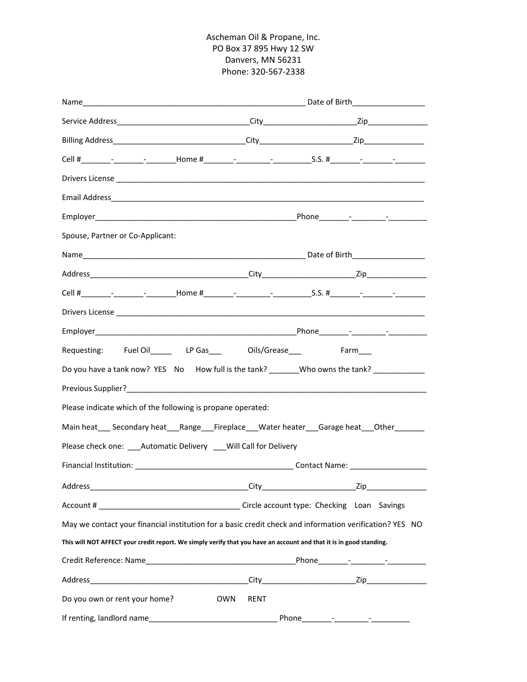## Ascheman Oil & Propane, Inc. PO Box 37 895 Hwy 12 SW Danvers, MN 56231 Phone: 320‐567‐2338

| Name                                                                                                                |             |  |
|---------------------------------------------------------------------------------------------------------------------|-------------|--|
|                                                                                                                     |             |  |
|                                                                                                                     |             |  |
|                                                                                                                     |             |  |
|                                                                                                                     |             |  |
|                                                                                                                     |             |  |
|                                                                                                                     |             |  |
| Spouse, Partner or Co-Applicant:                                                                                    |             |  |
|                                                                                                                     |             |  |
|                                                                                                                     |             |  |
|                                                                                                                     |             |  |
|                                                                                                                     |             |  |
|                                                                                                                     |             |  |
| Requesting: Fuel Oil________ LP Gas_____ Oils/Grease_____ Farm____                                                  |             |  |
| Do you have a tank now? YES No How full is the tank? _______Who owns the tank? ______________                       |             |  |
|                                                                                                                     |             |  |
| Please indicate which of the following is propane operated:                                                         |             |  |
| Main heat____ Secondary heat____Range____Fireplace____Water heater____Garage heat____Other_________                 |             |  |
| Please check one: Automatic Delivery Will Call for Delivery                                                         |             |  |
|                                                                                                                     |             |  |
|                                                                                                                     |             |  |
|                                                                                                                     |             |  |
| May we contact your financial institution for a basic credit check and information verification? YES NO             |             |  |
| This will NOT AFFECT your credit report. We simply verify that you have an account and that it is in good standing. |             |  |
|                                                                                                                     |             |  |
|                                                                                                                     |             |  |
| Do you own or rent your home?                                                                                       | OWN<br>RENT |  |
|                                                                                                                     |             |  |